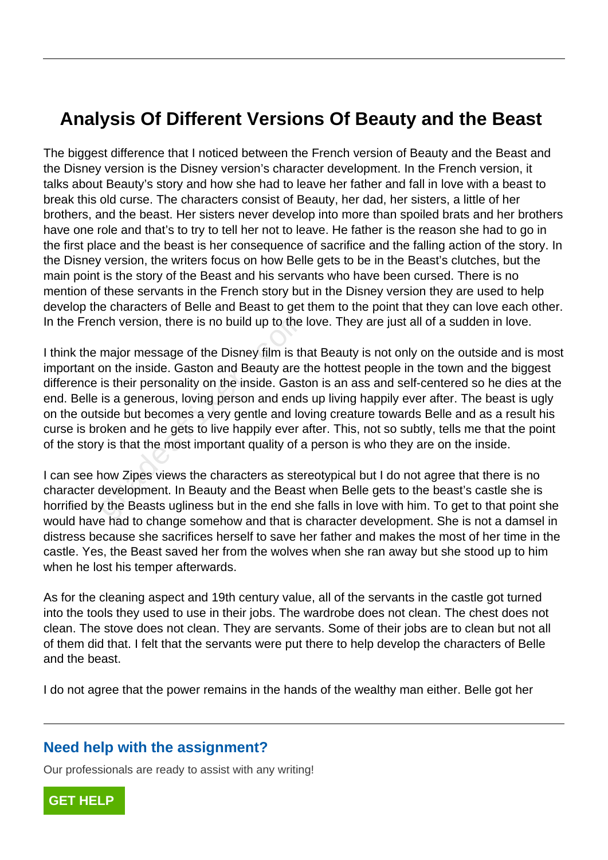## **Analysis Of Different Versions Of Beauty and the Beast**

The biggest difference that I noticed between the French version of Beauty and the Beast and the Disney version is the Disney version's character development. In the French version, it talks about Beauty's story and how she had to leave her father and fall in love with a beast to break this old curse. The characters consist of Beauty, her dad, her sisters, a little of her brothers, and the beast. Her sisters never develop into more than spoiled brats and her brothers have one role and that's to try to tell her not to leave. He father is the reason she had to go in the first place and the beast is her consequence of sacrifice and the falling action of the story. In the Disney version, the writers focus on how Belle gets to be in the Beast's clutches, but the main point is the story of the Beast and his servants who have been cursed. There is no mention of these servants in the French story but in the Disney version they are used to help develop the characters of Belle and Beast to get them to the point that they can love each other. In the French version, there is no build up to the love. They are just all of a sudden in love.

I think the major message of the Disney film is that Beauty is not only on the outside and is most important on the inside. Gaston and Beauty are the hottest people in the town and the biggest difference is their personality on the inside. Gaston is an ass and self-centered so he dies at the end. Belle is a generous, loving person and ends up living happily ever after. The beast is ugly on the outside but becomes a very gentle and loving creature towards Belle and as a result his curse is broken and he gets to live happily ever after. This, not so subtly, tells me that the point of the story is that the most important quality of a person is who they are on the inside. nch version, there is no build up to the I<br>major message of the Disney film is than<br>on the inside. Gaston and Beauty are t<br>is their personality on the inside. Gasto<br>is a generous, loving person and ends<br>side but becomes a

I can see how Zipes views the characters as stereotypical but I do not agree that there is no character development. In Beauty and the Beast when Belle gets to the beast's castle she is horrified by the Beasts ugliness but in the end she falls in love with him. To get to that point she would have had to change somehow and that is character development. She is not a damsel in distress because she sacrifices herself to save her father and makes the most of her time in the castle. Yes, the Beast saved her from the wolves when she ran away but she stood up to him when he lost his temper afterwards.

As for the cleaning aspect and 19th century value, all of the servants in the castle got turned into the tools they used to use in their jobs. The wardrobe does not clean. The chest does not clean. The stove does not clean. They are servants. Some of their jobs are to clean but not all of them did that. I felt that the servants were put there to help develop the characters of Belle and the beast.

I do not agree that the power remains in the hands of the wealthy man either. Belle got her

## **Need help with the assignment?**

Our professionals are ready to assist with any writing!